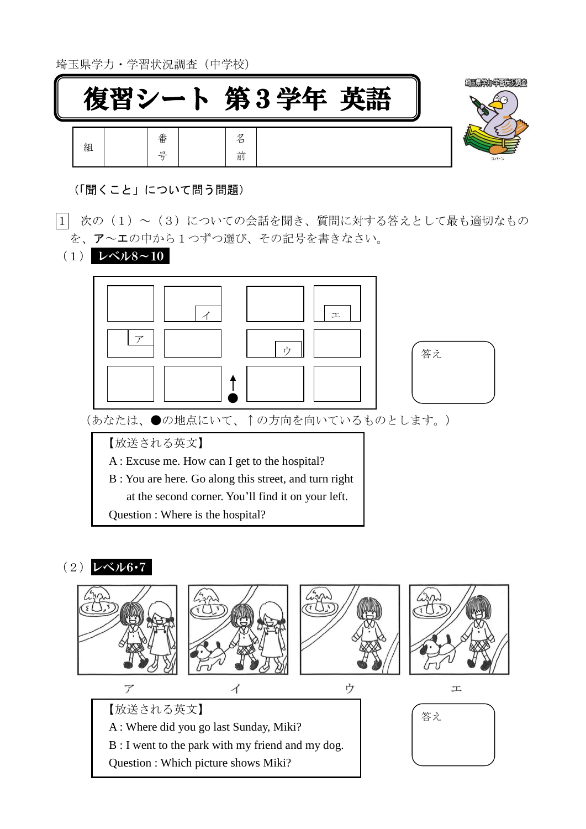埼玉県学力・学習状況調査(中学校)



(「聞くこと」について問う問題)

- |1| 次の(1)~(3)についての会話を聞き、質問に対する答えとして最も適切なもの を、ア~エの中から1つずつ選び、その記号を書きなさい。
	- (1) レベル8~10



## $(2)$   $\nu \times \nu 6.7$

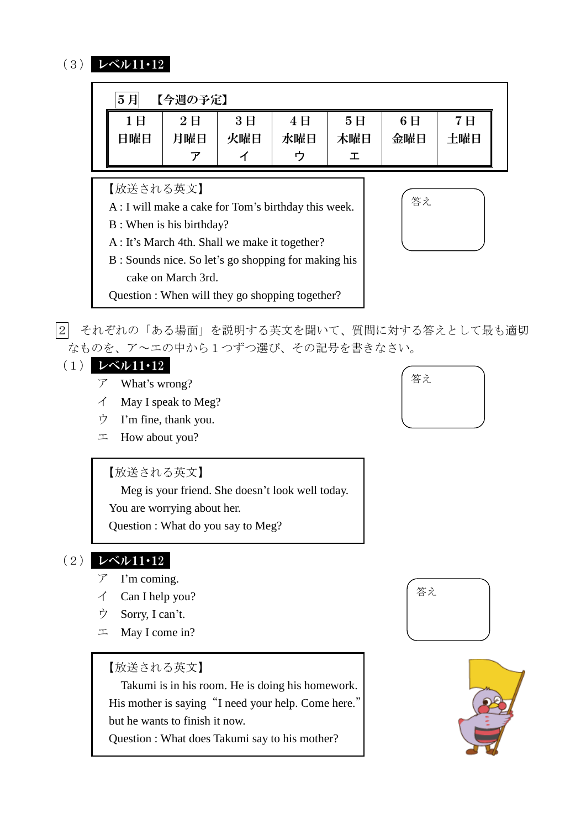## (3) レベル11・12

| 5月<br>【今週の予定】 |     |     |     |     |     |     |
|---------------|-----|-----|-----|-----|-----|-----|
| 1日            | 2E  | 3E  | 4E  | 5E  | 6E  | 7 H |
| 日曜日           | 月曜日 | 火曜日 | 水曜日 | 木曜日 | 金曜日 | 土曜日 |
|               |     |     |     |     |     |     |

【放送される英文】

- A : I will make a cake for Tom's birthday this week.
- B : When is his birthday?
- A : It's March 4th. Shall we make it together?
- B : Sounds nice. So let's go shopping for making his cake on March 3rd.
- Question : When will they go shopping together?



2 それぞれの「ある場面」を説明する英文を聞いて、質問に対する答えとして最も適切 なものを、ア~エの中から1つずつ選び、その記号を書きなさい。

## (1) レベル11・12

- ア What's wrong?
- イ May I speak to Meg?
- ウ I'm fine, thank you.
- エ How about you?

## 【放送される英文】

Meg is your friend. She doesn't look well today.

You are worrying about her.

Question : What do you say to Meg?

# (2) レベル11・12

- ア I'm coming.
- イ Can I help you?
- ウ Sorry, I can't.
- エ May I come in?

## 【放送される英文】

 Takumi is in his room. He is doing his homework. His mother is saying "I need your help. Come here." but he wants to finish it now.

Question : What does Takumi say to his mother?





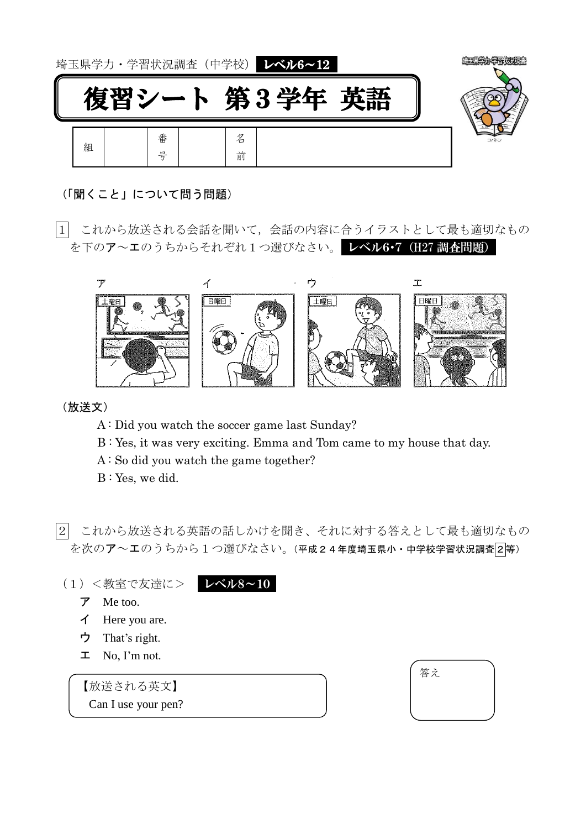

- (「聞くこと」について問う問題)
- 1 これから放送される会話を聞いて,会話の内容に合うイラストとして最も適切なもの を下のア~エのうちからそれぞれ1つ選びなさい。レベル6·7 (H27 調査問題)



(放送文)

- A : Did you watch the soccer game last Sunday?
- B : Yes, it was very exciting. Emma and Tom came to my house that day.
- A : So did you watch the game together?
- B : Yes, we did.

|2| これから放送される英語の話しかけを聞き、それに対する答えとして最も適切なもの を次のア~エのうちから1つ選びなさい。(平成24年度埼玉県小·中学校学習状況調査2等)

- (1)<教室で友達に> レベル8~10
	- ア Me too.
	- イ Here you are.
	- ウ That's right.
	- エ No, I'm not.

【放送される英文】

Can I use your pen?

答え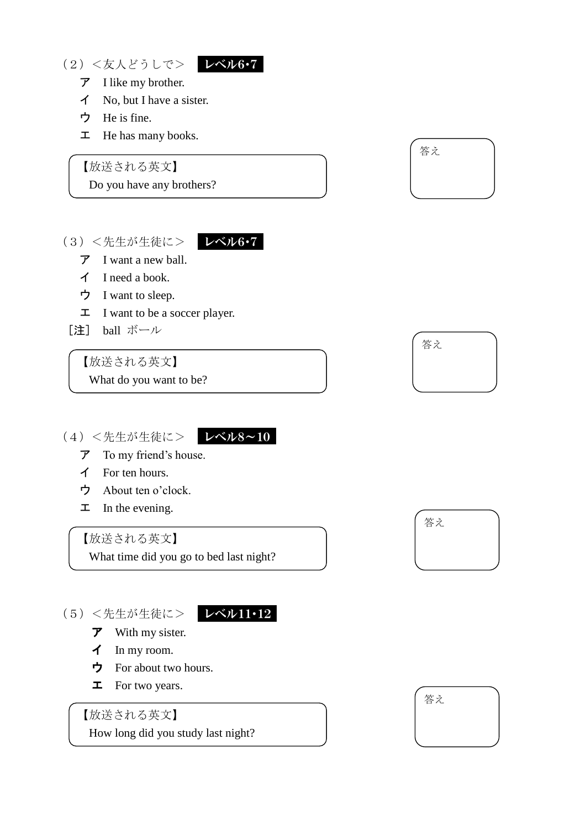(2)<友人どうしで> レベル6・7



- ア I like my brother.
- イ No, but I have a sister.
- ウ He is fine.
- エ He has many books.

【放送される英文】

Do you have any brothers?

## (3) <先生が生徒に> レベル6·7



- ア I want a new ball.
- イ I need a book.
- ウ I want to sleep.
- エ I want to be a soccer player.
- [注] ball ボール

## 【放送される英文】

What do you want to be?

(4) <先生が生徒に> レベル8~10

- ア To my friend's house.
- イ For ten hours.
- ウ About ten o'clock.
- $\mathbf{\Sigma}$  In the evening.

## 【放送される英文】

What time did you go to bed last night?

## (5)<先生が生徒に> レベル11・12

- $\vec{r}$  With my sister.
- イ In my room.
- ウ For about two hours.
- エ For two years.

【放送される英文】

How long did you study last night?







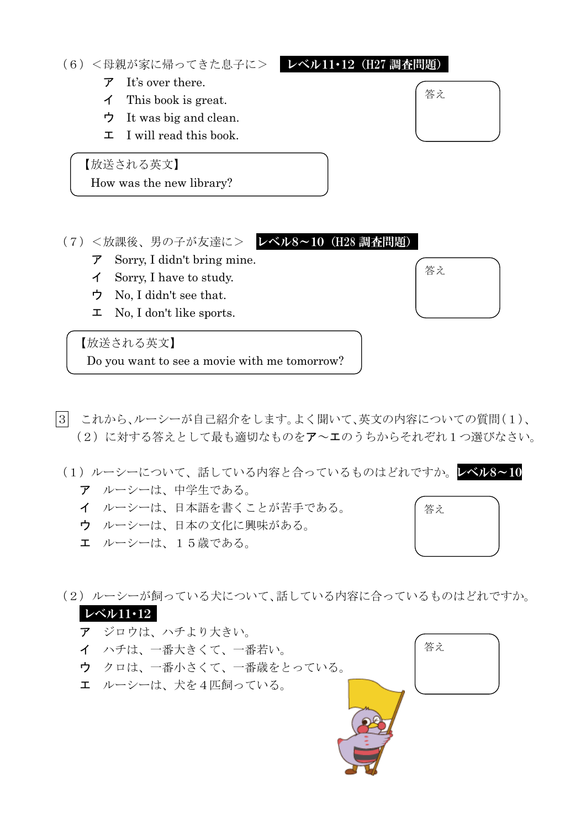#### (6)<母親が家に帰ってきた息子に> レベル11・12(H27 調査問題)

## ア It's over there.

- イ This book is great.
- ウ It was big and clean.
- エ I will read this book.

【放送される英文】

How was the new library?

(7)<放課後、男の子が友達に> レベル8~10(H28 調査問題)

- ア Sorry, I didn't bring mine.
- イ Sorry, I have to study.
- ウ No, I didn't see that.
- エ No, I don't like sports.

【放送される英文】

Do you want to see a movie with me tomorrow?

- 3 これから、ルーシーが自己紹介をします。よく聞いて、英文の内容についての質問(1)、 (2)に対する答えとして最も適切なものをア~エのうちからそれぞれ1つ選びなさい。
- (1) ルーシーについて、話している内容と合っているものはどれですか。レベル8~10
	- ア ルーシーは、中学生である。
	- イ ルーシーは、日本語を書くことが苦手である。
	- ウ ルーシーは、日本の文化に興味がある。
	- エ ルーシーは、15歳である。

(2)ルーシーが飼っている犬について、話している内容に合っているものはどれですか。

## レベル11・12

- ア ジロウは、ハチより大きい。
- イ ハチは、一番大きくて、一番若い。
- ウ クロは、一番小さくて、一番歳をとっている。
- エ ルーシーは、犬を4匹飼っている。









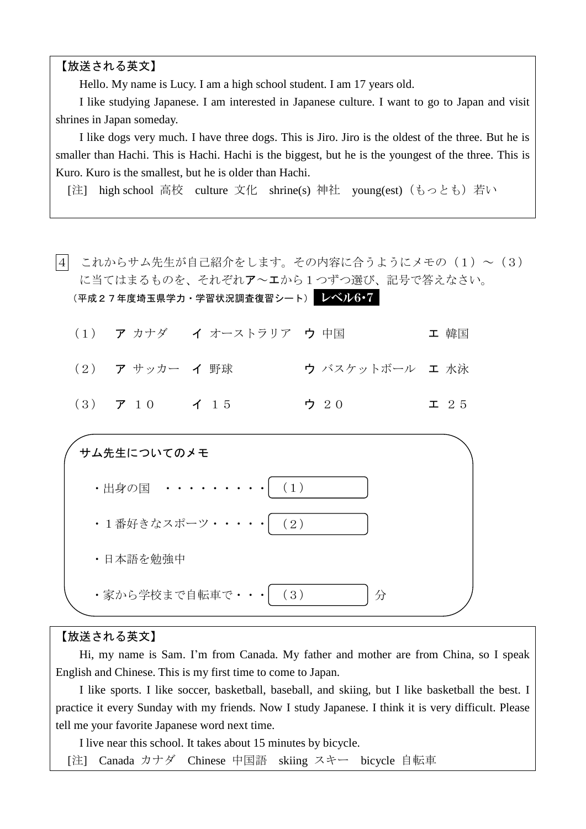【放送される英文】

Hello. My name is Lucy. I am a high school student. I am 17 years old.

 I like studying Japanese. I am interested in Japanese culture. I want to go to Japan and visit shrines in Japan someday.

 I like dogs very much. I have three dogs. This is Jiro. Jiro is the oldest of the three. But he is smaller than Hachi. This is Hachi. Hachi is the biggest, but he is the youngest of the three. This is Kuro. Kuro is the smallest, but he is older than Hachi.

[注] high school 高校 culture 文化 shrine(s) 神社 young(est)(もっとも)若い

|4| これからサム先生が自己紹介をします。その内容に合うようにメモの(1)~(3) に当てはまるものを、それぞれア~エから1つずつ選び、記号で答えなさい。 (平成27年度埼玉県学力・学習状況調査復習シート) レベル6・7 (1) ア カナダ イ オーストラリア ウ 中国 エ 韓国 (2) ア サッカー イ 野球 ウ バスケットボール エ 水泳 (3) ア 10 イ 15 ウ 20 エ 25 サム先生についてのメモ ・出身の国 ・・・・・・・・・ (1) ・1番好きなスポーツ・・・・・ (2) ・日本語を勉強中 ・家から学校まで自転車で・・・ 分 (3)

#### 【放送される英文】

 Hi, my name is Sam. I'm from Canada. My father and mother are from China, so I speak English and Chinese. This is my first time to come to Japan.

 I like sports. I like soccer, basketball, baseball, and skiing, but I like basketball the best. I practice it every Sunday with my friends. Now I study Japanese. I think it is very difficult. Please tell me your favorite Japanese word next time.

I live near this school. It takes about 15 minutes by bicycle.

[注] Canada カナダ Chinese 中国語 skiing スキー bicycle 自転車